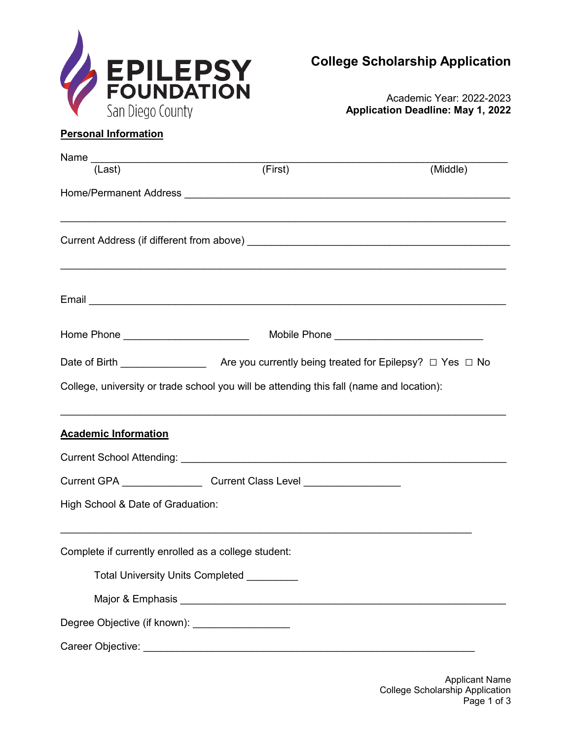

Academic Year: 2022-2023 **Application Deadline: May 1, 2022**

# **Personal Information**

| Name __________________________________                                                                                                                                                                                              |                                                                                          |          |
|--------------------------------------------------------------------------------------------------------------------------------------------------------------------------------------------------------------------------------------|------------------------------------------------------------------------------------------|----------|
| (Last)                                                                                                                                                                                                                               | (First)                                                                                  | (Middle) |
|                                                                                                                                                                                                                                      |                                                                                          |          |
|                                                                                                                                                                                                                                      |                                                                                          |          |
|                                                                                                                                                                                                                                      |                                                                                          |          |
|                                                                                                                                                                                                                                      | ,我们也不能在这里的时候,我们也不能在这里的时候,我们也不能不能不能不能不能不能不能不能不能不能不能不能不能不能不能。""我们的是我们的,我们也不能不能不能不能         |          |
|                                                                                                                                                                                                                                      |                                                                                          |          |
|                                                                                                                                                                                                                                      |                                                                                          |          |
| Home Phone <u>New York New York New York New York New York New York New York New York New York New York New York New York New York New York New York New York New York New York New York New York New York New York New York New</u> |                                                                                          |          |
|                                                                                                                                                                                                                                      |                                                                                          |          |
|                                                                                                                                                                                                                                      | College, university or trade school you will be attending this fall (name and location): |          |
|                                                                                                                                                                                                                                      |                                                                                          |          |
| <b>Academic Information</b>                                                                                                                                                                                                          |                                                                                          |          |
|                                                                                                                                                                                                                                      |                                                                                          |          |
|                                                                                                                                                                                                                                      | Current GPA _________________________Current Class Level _______________________         |          |
| High School & Date of Graduation:                                                                                                                                                                                                    |                                                                                          |          |
|                                                                                                                                                                                                                                      |                                                                                          |          |
|                                                                                                                                                                                                                                      | Complete if currently enrolled as a college student:                                     |          |
|                                                                                                                                                                                                                                      | Total University Units Completed _________                                               |          |
|                                                                                                                                                                                                                                      |                                                                                          |          |
|                                                                                                                                                                                                                                      | Degree Objective (if known): ____________________                                        |          |
|                                                                                                                                                                                                                                      |                                                                                          |          |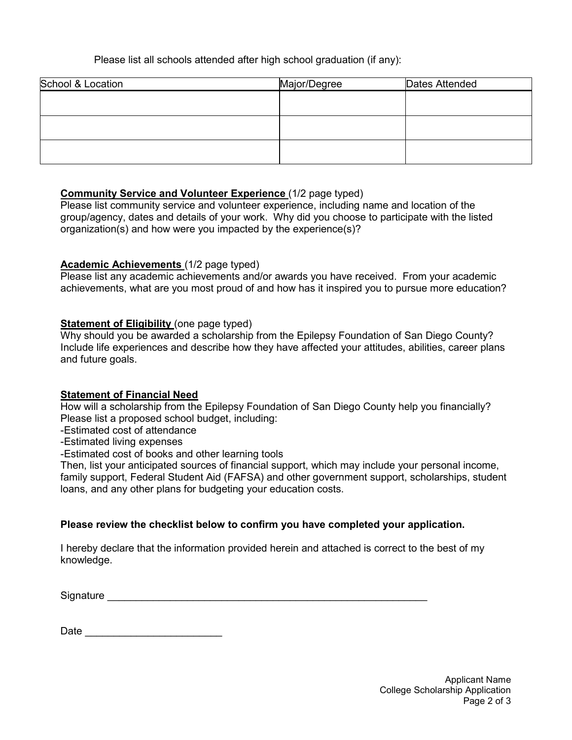## Please list all schools attended after high school graduation (if any):

| School & Location | Major/Degree | Dates Attended |
|-------------------|--------------|----------------|
|                   |              |                |
|                   |              |                |
|                   |              |                |
|                   |              |                |
|                   |              |                |
|                   |              |                |

### **Community Service and Volunteer Experience** (1/2 page typed)

Please list community service and volunteer experience, including name and location of the group/agency, dates and details of your work. Why did you choose to participate with the listed organization(s) and how were you impacted by the experience(s)?

### **Academic Achievements** (1/2 page typed)

Please list any academic achievements and/or awards you have received. From your academic achievements, what are you most proud of and how has it inspired you to pursue more education?

### **Statement of Eligibility** (one page typed)

Why should you be awarded a scholarship from the Epilepsy Foundation of San Diego County? Include life experiences and describe how they have affected your attitudes, abilities, career plans and future goals.

#### **Statement of Financial Need**

How will a scholarship from the Epilepsy Foundation of San Diego County help you financially? Please list a proposed school budget, including:

- -Estimated cost of attendance
- -Estimated living expenses
- -Estimated cost of books and other learning tools

Then, list your anticipated sources of financial support, which may include your personal income, family support, Federal Student Aid (FAFSA) and other government support, scholarships, student loans, and any other plans for budgeting your education costs.

### **Please review the checklist below to confirm you have completed your application.**

I hereby declare that the information provided herein and attached is correct to the best of my knowledge.

Signature **Example 2018** 

Date \_\_\_\_\_\_\_\_\_\_\_\_\_\_\_\_\_\_\_\_\_\_\_\_